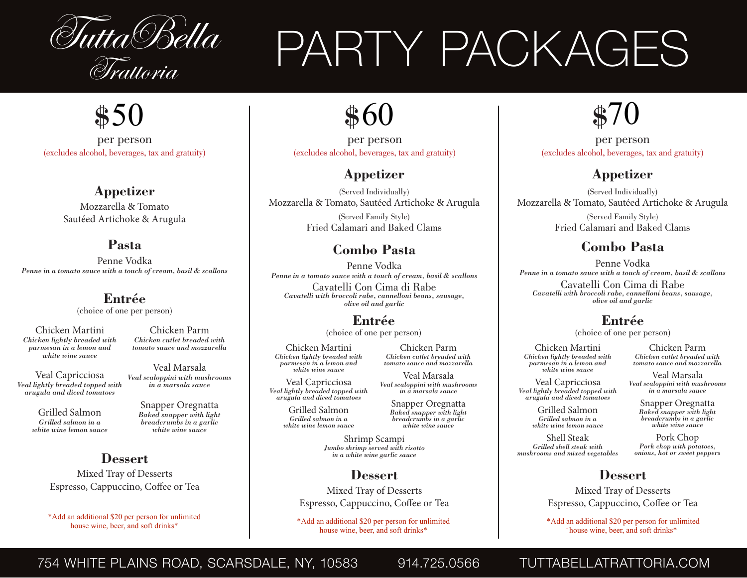

# PARTY PACKAGES



per person (excludes alcohol, beverages, tax and gratuity)

#### **Appetizer**

Mozzarella & Tomato Sautéed Artichoke & Arugula

#### **Pasta**

Penne Vodka *Penne in a tomato sauce with a touch of cream, basil & scallons*

#### **Entrée**

(choice of one per person)

Chicken Martini *Chicken lightly breaded with parmesan in a lemon and white wine sauce*

Veal Capricciosa *Veal lightly breaded topped with arugula and diced tomatoes*

> Grilled Salmon *Grilled salmon in a white wine lemon sauce*

Chicken Parm *Chicken cutlet breaded with tomato sauce and mozzarella*

Veal Marsala *Veal scaloppini with mushrooms in a marsala sauce*

Snapper Oregnatta *Baked snapper with light breadcrumbs in a garlic white wine sauce*

Mixed Tray of Desserts Espresso, Cappuccino, Coffee or Tea

house wine, beer, and soft drinks\* house wine, beer and soft drinks. \*Add an additional \$20 per person for unlimited

### \$60  $50$   $\#60$   $\#70$

per person (excludes alcohol, beverages, tax and gratuity)

#### **Appetizer**

(Served Individually) Mozzarella & Tomato, Sautéed Artichoke & Arugula

> (Served Family Style) Fried Calamari and Baked Clams

#### **Combo Pasta**

Penne Vodka *Penne in a tomato sauce with a touch of cream, basil & scallons*

Cavatelli Con Cima di Rabe *Cavatelli with broccoli rabe, cannelloni beans, sausage, olive oil and garlic*

#### **Entrée**

(choice of one per person)

Chicken Martini *Chicken lightly breaded with parmesan in a lemon and white wine sauce*

Veal Capricciosa *Veal lightly breaded topped with arugula and diced tomatoes*

> Grilled Salmon *Grilled salmon in a white wine lemon sauce*

**Dessert** and  $\overline{a}$  and  $\overline{b}$  and  $\overline{b}$  and  $\overline{b}$  and  $\overline{b}$  and  $\overline{b}$  and  $\overline{b}$  and  $\overline{b}$  and  $\overline{b}$  and  $\overline{b}$  and  $\overline{b}$  and  $\overline{b}$  and  $\overline{b}$  and  $\overline{b}$  and  $\overline{b}$  and  $\overline{b}$  and Shrimp Scampi *Jumbo shrimp served with risotto in a white wine garlic sauce*

#### **Dessert**

Mixed Tray of Desserts Espresso, Cappuccino, Coffee or Tea

\* Add additional \$15 per person for unlimited \*Add additional \$20 per person for unlimited \*Add an additional \$20 per person for unlimited house wine, beer, and soft drinks\* house wine, beer, and soft drinks\*

## $$70$

per person (excludes alcohol, beverages, tax and gratuity)

#### **Appetizer**

(Served Individually) Mozzarella & Tomato, Sautéed Artichoke & Arugula

> (Served Family Style) Fried Calamari and Baked Clams

#### **Combo Pasta**

Penne Vodka *Penne in a tomato sauce with a touch of cream, basil & scallons*

Cavatelli Con Cima di Rabe *Cavatelli with broccoli rabe, cannelloni beans, sausage, olive oil and garlic*

#### **Entrée**

(choice of one per person)

Chicken Martini *Chicken lightly breaded with parmesan in a lemon and* 

*white wine sauce*

Veal Capricciosa *Veal lightly breaded topped with arugula and diced tomatoes*

Grilled Salmon *Grilled salmon in a white wine lemon sauce*

Shell Steak *Grilled shell steak with mushrooms and mixed vegetables*

*Chicken cutlet breaded with tomato sauce and mozzarella* Veal Marsala

Chicken Parm

*Veal scaloppini with mushrooms in a marsala sauce*

> Snapper Oregnatta *Baked snapper with light breadcrumbs in a garlic white wine sauce*

Pork Chop *Pork chop with potatoes,* 

#### **Dessert**

Mixed Tray of Desserts Espresso, Cappuccino, Coffee or Tea

\* Add additional \$15 per person for unlimited \*Add additional \$20 per person for unlimited \*Add an additional \$20 per person for unlimited house wine, beer, and soft drinks\*

754 WHITE PLAINS ROAD, SCARSDALE, NY, 10583 914.725.0566 TUTTABELLATRATTORIA.COM

Chicken Parm *Chicken cutlet breaded with tomato sauce and mozzarella* Veal Marsala *Veal scaloppini with mushrooms in a marsala sauce* Snapper Oregnatta *Baked snapper with light breadcrumbs in a garlic white wine sauce*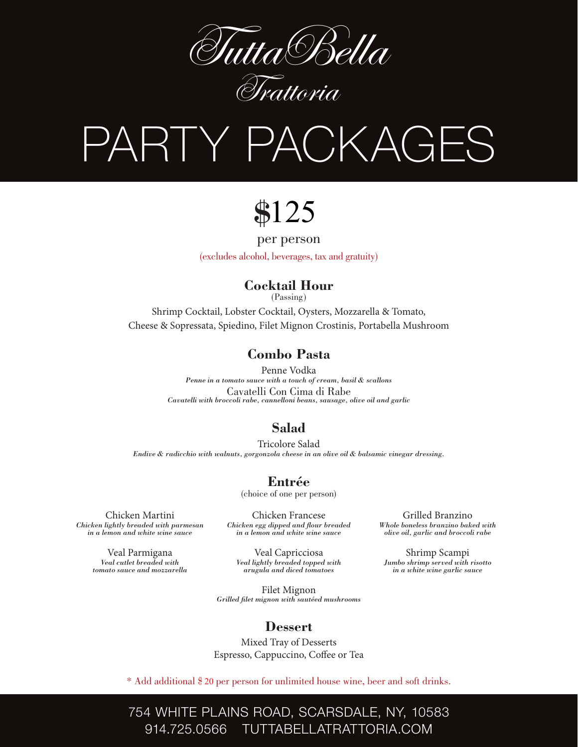

# PARTY PACKAGES

## \$125

per person

(excludes alcohol, beverages, tax and gratuity)

#### **Cocktail Hour**

(Passing)

Shrimp Cocktail, Lobster Cocktail, Oysters, Mozzarella & Tomato, Cheese & Sopressata, Spiedino, Filet Mignon Crostinis, Portabella Mushroom

#### **Combo Pasta**

Penne Vodka *Penne in a tomato sauce with a touch of cream, basil & scallons* Cavatelli Con Cima di Rabe *Cavatelli with broccoli rabe, cannelloni beans, sausage, olive oil and garlic*

#### **Salad**

Tricolore Salad *Endive & radicchio with walnuts, gorgonzola cheese in an olive oil & balsamic vinegar dressing.* 

#### **Entrée**

(choice of one per person)

Chicken Martini *Chicken lightly breaded with parmesan in a lemon and white wine sauce*

> Veal Parmigana *Veal cutlet breaded with tomato sauce and mozzarella*

Chicken Francese *Chicken egg dipped and flour breaded in a lemon and white wine sauce*

Veal Capricciosa *Veal lightly breaded topped with arugula and diced tomatoes*

Filet Mignon *Grilled filet mignon with sautéed mushrooms*

#### **Dessert**

Mixed Tray of Desserts Espresso, Cappuccino, Coffee or Tea

\* Add additional \$20 per person for unlimited house wine, beer and soft drinks.

754 WHITE PLAINS ROAD, SCARSDALE, NY, 10583 914.725.0566 TUTTABELLATRATTORIA.COM

Grilled Branzino *Whole boneless branzino baked with olive oil, garlic and broccoli rabe*

Shrimp Scampi *Jumbo shrimp served with risotto in a white wine garlic sauce*